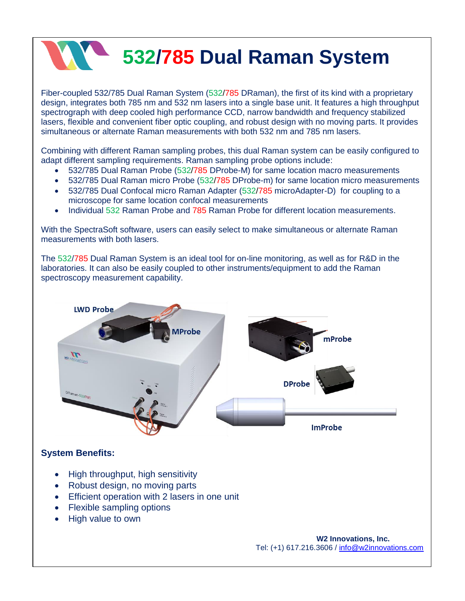## **532/785 Dual Raman System**

Fiber-coupled 532/785 Dual Raman System (532/785 DRaman), the first of its kind with a proprietary design, integrates both 785 nm and 532 nm lasers into a single base unit. It features a high throughput spectrograph with deep cooled high performance CCD, narrow bandwidth and frequency stabilized lasers, flexible and convenient fiber optic coupling, and robust design with no moving parts. It provides simultaneous or alternate Raman measurements with both 532 nm and 785 nm lasers.

Combining with different Raman sampling probes, this dual Raman system can be easily configured to adapt different sampling requirements. Raman sampling probe options include:

- 532/785 Dual Raman Probe (532/785 DProbe-M) for same location macro measurements
- 532/785 Dual Raman micro Probe (532/785 DProbe-m) for same location micro measurements
- 532/785 Dual Confocal micro Raman Adapter (532/785 microAdapter-D) for coupling to a microscope for same location confocal measurements
- Individual 532 Raman Probe and 785 Raman Probe for different location measurements.

With the SpectraSoft software, users can easily select to make simultaneous or alternate Raman measurements with both lasers.

The 532/785 Dual Raman System is an ideal tool for on-line monitoring, as well as for R&D in the laboratories. It can also be easily coupled to other instruments/equipment to add the Raman spectroscopy measurement capability.



## **System Benefits:**

- High throughput, high sensitivity
- Robust design, no moving parts
- **Efficient operation with 2 lasers in one unit**
- Flexible sampling options
- High value to own

 **W2 Innovations, Inc.** Tel: (+1) 617.216.3606 / [info@w2innovations.com](mailto:info@w2innovations.com)